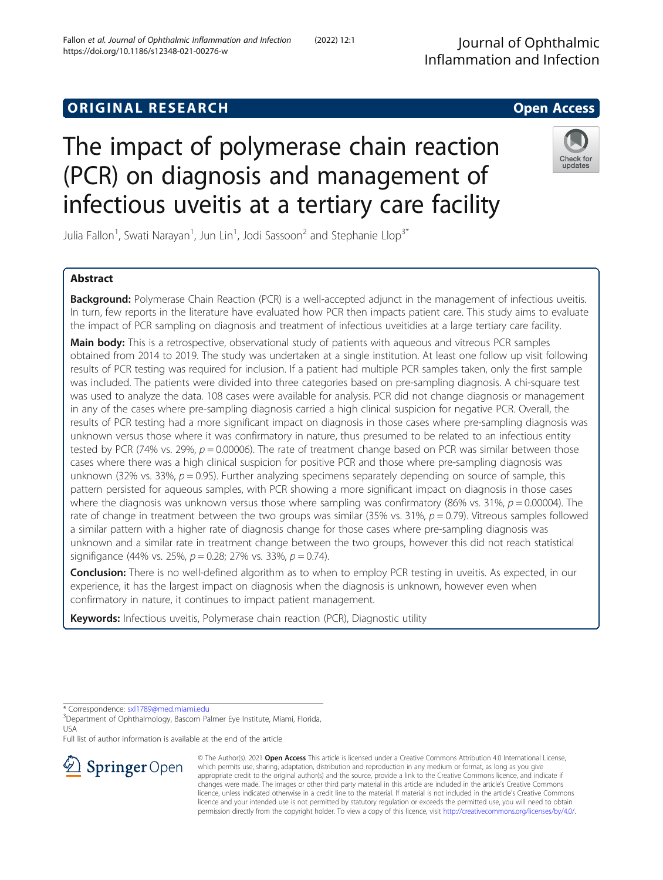https://doi.org/10.1186/s12348-021-00276-w

# The impact of polymerase chain reaction (PCR) on diagnosis and management of infectious uveitis at a tertiary care facility

Julia Fallon<sup>1</sup>, Swati Narayan<sup>1</sup>, Jun Lin<sup>1</sup>, Jodi Sassoon<sup>2</sup> and Stephanie Llop<sup>3\*</sup>

Fallon et al. Journal of Ophthalmic Inflammation and Infection (2022) 12:1

# Abstract

**Background:** Polymerase Chain Reaction (PCR) is a well-accepted adjunct in the management of infectious uveitis. In turn, few reports in the literature have evaluated how PCR then impacts patient care. This study aims to evaluate the impact of PCR sampling on diagnosis and treatment of infectious uveitidies at a large tertiary care facility.

Main body: This is a retrospective, observational study of patients with aqueous and vitreous PCR samples obtained from 2014 to 2019. The study was undertaken at a single institution. At least one follow up visit following results of PCR testing was required for inclusion. If a patient had multiple PCR samples taken, only the first sample was included. The patients were divided into three categories based on pre-sampling diagnosis. A chi-square test was used to analyze the data. 108 cases were available for analysis. PCR did not change diagnosis or management in any of the cases where pre-sampling diagnosis carried a high clinical suspicion for negative PCR. Overall, the results of PCR testing had a more significant impact on diagnosis in those cases where pre-sampling diagnosis was unknown versus those where it was confirmatory in nature, thus presumed to be related to an infectious entity tested by PCR (74% vs. 29%,  $p = 0.00006$ ). The rate of treatment change based on PCR was similar between those cases where there was a high clinical suspicion for positive PCR and those where pre-sampling diagnosis was unknown (32% vs. 33%,  $p = 0.95$ ). Further analyzing specimens separately depending on source of sample, this pattern persisted for aqueous samples, with PCR showing a more significant impact on diagnosis in those cases where the diagnosis was unknown versus those where sampling was confirmatory (86% vs. 31%,  $p = 0.00004$ ). The rate of change in treatment between the two groups was similar (35% vs. 31%,  $p = 0.79$ ). Vitreous samples followed a similar pattern with a higher rate of diagnosis change for those cases where pre-sampling diagnosis was unknown and a similar rate in treatment change between the two groups, however this did not reach statistical signifigance (44% vs. 25%,  $p = 0.28$ ; 27% vs. 33%,  $p = 0.74$ ).

**Conclusion:** There is no well-defined algorithm as to when to employ PCR testing in uveitis. As expected, in our experience, it has the largest impact on diagnosis when the diagnosis is unknown, however even when confirmatory in nature, it continues to impact patient management.

Keywords: Infectious uveitis, Polymerase chain reaction (PCR), Diagnostic utility

\* Correspondence: [sxl1789@med.miami.edu](mailto:sxl1789@med.miami.edu) <sup>3</sup>

<sup>3</sup> Department of Ophthalmology, Bascom Palmer Eye Institute, Miami, Florida, USA

Full list of author information is available at the end of the article



Check for updates

© The Author(s). 2021 Open Access This article is licensed under a Creative Commons Attribution 4.0 International License, which permits use, sharing, adaptation, distribution and reproduction in any medium or format, as long as you give appropriate credit to the original author(s) and the source, provide a link to the Creative Commons licence, and indicate if changes were made. The images or other third party material in this article are included in the article's Creative Commons licence, unless indicated otherwise in a credit line to the material. If material is not included in the article's Creative Commons licence and your intended use is not permitted by statutory regulation or exceeds the permitted use, you will need to obtain permission directly from the copyright holder. To view a copy of this licence, visit <http://creativecommons.org/licenses/by/4.0/>.

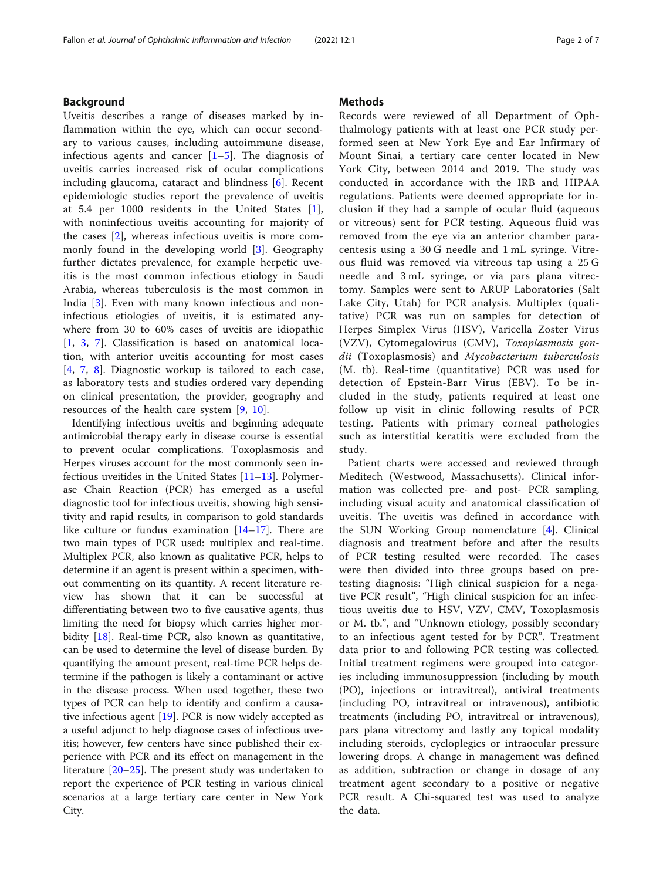#### Background

Uveitis describes a range of diseases marked by inflammation within the eye, which can occur secondary to various causes, including autoimmune disease, infectious agents and cancer  $[1-5]$  $[1-5]$  $[1-5]$  $[1-5]$ . The diagnosis of uveitis carries increased risk of ocular complications including glaucoma, cataract and blindness [[6\]](#page-5-0). Recent epidemiologic studies report the prevalence of uveitis at 5.4 per 1000 residents in the United States [\[1](#page-5-0)], with noninfectious uveitis accounting for majority of the cases [[2](#page-5-0)], whereas infectious uveitis is more commonly found in the developing world [[3\]](#page-5-0). Geography further dictates prevalence, for example herpetic uveitis is the most common infectious etiology in Saudi Arabia, whereas tuberculosis is the most common in India [\[3](#page-5-0)]. Even with many known infectious and noninfectious etiologies of uveitis, it is estimated anywhere from 30 to 60% cases of uveitis are idiopathic [[1,](#page-5-0) [3,](#page-5-0) [7](#page-5-0)]. Classification is based on anatomical location, with anterior uveitis accounting for most cases [[4,](#page-5-0) [7](#page-5-0), [8](#page-5-0)]. Diagnostic workup is tailored to each case, as laboratory tests and studies ordered vary depending on clinical presentation, the provider, geography and resources of the health care system [\[9](#page-5-0), [10](#page-5-0)].

Identifying infectious uveitis and beginning adequate antimicrobial therapy early in disease course is essential to prevent ocular complications. Toxoplasmosis and Herpes viruses account for the most commonly seen infectious uveitides in the United States [\[11](#page-5-0)–[13\]](#page-5-0). Polymerase Chain Reaction (PCR) has emerged as a useful diagnostic tool for infectious uveitis, showing high sensitivity and rapid results, in comparison to gold standards like culture or fundus examination  $[14–17]$  $[14–17]$  $[14–17]$  $[14–17]$  $[14–17]$ . There are two main types of PCR used: multiplex and real-time. Multiplex PCR, also known as qualitative PCR, helps to determine if an agent is present within a specimen, without commenting on its quantity. A recent literature review has shown that it can be successful at differentiating between two to five causative agents, thus limiting the need for biopsy which carries higher morbidity [\[18](#page-6-0)]. Real-time PCR, also known as quantitative, can be used to determine the level of disease burden. By quantifying the amount present, real-time PCR helps determine if the pathogen is likely a contaminant or active in the disease process. When used together, these two types of PCR can help to identify and confirm a causative infectious agent [\[19](#page-6-0)]. PCR is now widely accepted as a useful adjunct to help diagnose cases of infectious uveitis; however, few centers have since published their experience with PCR and its effect on management in the literature [[20](#page-6-0)–[25](#page-6-0)]. The present study was undertaken to report the experience of PCR testing in various clinical scenarios at a large tertiary care center in New York City.

#### **Methods**

Records were reviewed of all Department of Ophthalmology patients with at least one PCR study performed seen at New York Eye and Ear Infirmary of Mount Sinai, a tertiary care center located in New York City, between 2014 and 2019. The study was conducted in accordance with the IRB and HIPAA regulations. Patients were deemed appropriate for inclusion if they had a sample of ocular fluid (aqueous or vitreous) sent for PCR testing. Aqueous fluid was removed from the eye via an anterior chamber paracentesis using a 30 G needle and 1 mL syringe. Vitreous fluid was removed via vitreous tap using a 25 G needle and 3 mL syringe, or via pars plana vitrectomy. Samples were sent to ARUP Laboratories (Salt Lake City, Utah) for PCR analysis. Multiplex (qualitative) PCR was run on samples for detection of Herpes Simplex Virus (HSV), Varicella Zoster Virus (VZV), Cytomegalovirus (CMV), Toxoplasmosis gondii (Toxoplasmosis) and Mycobacterium tuberculosis (M. tb). Real-time (quantitative) PCR was used for detection of Epstein-Barr Virus (EBV). To be included in the study, patients required at least one follow up visit in clinic following results of PCR testing. Patients with primary corneal pathologies such as interstitial keratitis were excluded from the study.

Patient charts were accessed and reviewed through Meditech (Westwood, Massachusetts). Clinical information was collected pre- and post- PCR sampling, including visual acuity and anatomical classification of uveitis. The uveitis was defined in accordance with the SUN Working Group nomenclature [[4\]](#page-5-0). Clinical diagnosis and treatment before and after the results of PCR testing resulted were recorded. The cases were then divided into three groups based on pretesting diagnosis: "High clinical suspicion for a negative PCR result", "High clinical suspicion for an infectious uveitis due to HSV, VZV, CMV, Toxoplasmosis or M. tb.", and "Unknown etiology, possibly secondary to an infectious agent tested for by PCR". Treatment data prior to and following PCR testing was collected. Initial treatment regimens were grouped into categories including immunosuppression (including by mouth (PO), injections or intravitreal), antiviral treatments (including PO, intravitreal or intravenous), antibiotic treatments (including PO, intravitreal or intravenous), pars plana vitrectomy and lastly any topical modality including steroids, cycloplegics or intraocular pressure lowering drops. A change in management was defined as addition, subtraction or change in dosage of any treatment agent secondary to a positive or negative PCR result. A Chi-squared test was used to analyze the data.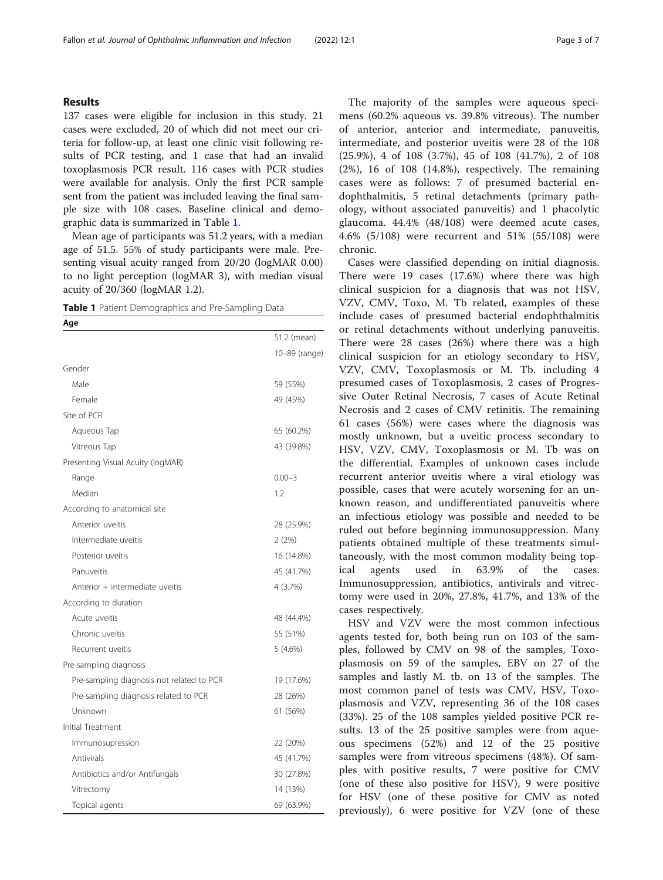#### Results

137 cases were eligible for inclusion in this study. 21 cases were excluded, 20 of which did not meet our criteria for follow-up, at least one clinic visit following results of PCR testing, and 1 case that had an invalid toxoplasmosis PCR result. 116 cases with PCR studies were available for analysis. Only the first PCR sample sent from the patient was included leaving the final sample size with 108 cases. Baseline clinical and demographic data is summarized in Table 1.

Mean age of participants was 51.2 years, with a median age of 51.5. 55% of study participants were male. Presenting visual acuity ranged from 20/20 (logMAR 0.00) to no light perception (logMAR 3), with median visual acuity of 20/360 (logMAR 1.2).

Table 1 Patient Demographics and Pre-Sampling Data

| Age                                       |               |
|-------------------------------------------|---------------|
|                                           | 51.2 (mean)   |
|                                           | 10-89 (range) |
| Gender                                    |               |
| Male                                      | 59 (55%)      |
| Female                                    | 49 (45%)      |
| Site of PCR                               |               |
| Aqueous Tap                               | 65 (60.2%)    |
| Vitreous Tap                              | 43 (39.8%)    |
| Presenting Visual Acuity (logMAR)         |               |
| Range                                     | $0.00 - 3$    |
| Median                                    | 1.2           |
| According to anatomical site              |               |
| Anterior uveitis                          | 28 (25.9%)    |
| Intermediate uveitis                      | 2(2%)         |
| Posterior uveitis                         | 16 (14.8%)    |
| Panuveitis                                | 45 (41.7%)    |
| Anterior + intermediate uveitis           | 4 (3.7%)      |
| According to duration                     |               |
| Acute uveitis                             | 48 (44.4%)    |
| Chronic uveitis                           | 55 (51%)      |
| Recurrent uveitis                         | 5 (4.6%)      |
| Pre-sampling diagnosis                    |               |
| Pre-sampling diagnosis not related to PCR | 19 (17.6%)    |
| Pre-sampling diagnosis related to PCR     | 28 (26%)      |
| Unknown                                   | 61 (56%)      |
| Initial Treatment                         |               |
| Immunosupression                          | 22 (20%)      |
| Antivirals                                | 45 (41.7%)    |
| Antibiotics and/or Antifungals            | 30 (27.8%)    |
| Vitrectomy                                | 14 (13%)      |
| Topical agents                            | 69 (63.9%)    |

The majority of the samples were aqueous specimens (60.2% aqueous vs. 39.8% vitreous). The number of anterior, anterior and intermediate, panuveitis, intermediate, and posterior uveitis were 28 of the 108 (25.9%), 4 of 108 (3.7%), 45 of 108 (41.7%), 2 of 108 (2%), 16 of 108 (14.8%), respectively. The remaining cases were as follows: 7 of presumed bacterial endophthalmitis, 5 retinal detachments (primary pathology, without associated panuveitis) and 1 phacolytic glaucoma. 44.4% (48/108) were deemed acute cases, 4.6% (5/108) were recurrent and 51% (55/108) were chronic.

Cases were classified depending on initial diagnosis. There were 19 cases (17.6%) where there was high clinical suspicion for a diagnosis that was not HSV, VZV, CMV, Toxo, M. Tb related, examples of these include cases of presumed bacterial endophthalmitis or retinal detachments without underlying panuveitis. There were 28 cases (26%) where there was a high clinical suspicion for an etiology secondary to HSV, VZV, CMV, Toxoplasmosis or M. Tb. including 4 presumed cases of Toxoplasmosis, 2 cases of Progressive Outer Retinal Necrosis, 7 cases of Acute Retinal Necrosis and 2 cases of CMV retinitis. The remaining 61 cases (56%) were cases where the diagnosis was mostly unknown, but a uveitic process secondary to HSV, VZV, CMV, Toxoplasmosis or M. Tb was on the differential. Examples of unknown cases include recurrent anterior uveitis where a viral etiology was possible, cases that were acutely worsening for an unknown reason, and undifferentiated panuveitis where an infectious etiology was possible and needed to be ruled out before beginning immunosuppression. Many patients obtained multiple of these treatments simultaneously, with the most common modality being topical agents used in 63.9% of the cases. Immunosuppression, antibiotics, antivirals and vitrectomy were used in 20%, 27.8%, 41.7%, and 13% of the cases respectively.

HSV and VZV were the most common infectious agents tested for, both being run on 103 of the samples, followed by CMV on 98 of the samples, Toxoplasmosis on 59 of the samples, EBV on 27 of the samples and lastly M. tb. on 13 of the samples. The most common panel of tests was CMV, HSV, Toxoplasmosis and VZV, representing 36 of the 108 cases (33%). 25 of the 108 samples yielded positive PCR results. 13 of the 25 positive samples were from aqueous specimens (52%) and 12 of the 25 positive samples were from vitreous specimens (48%). Of samples with positive results, 7 were positive for CMV (one of these also positive for HSV), 9 were positive for HSV (one of these positive for CMV as noted previously), 6 were positive for VZV (one of these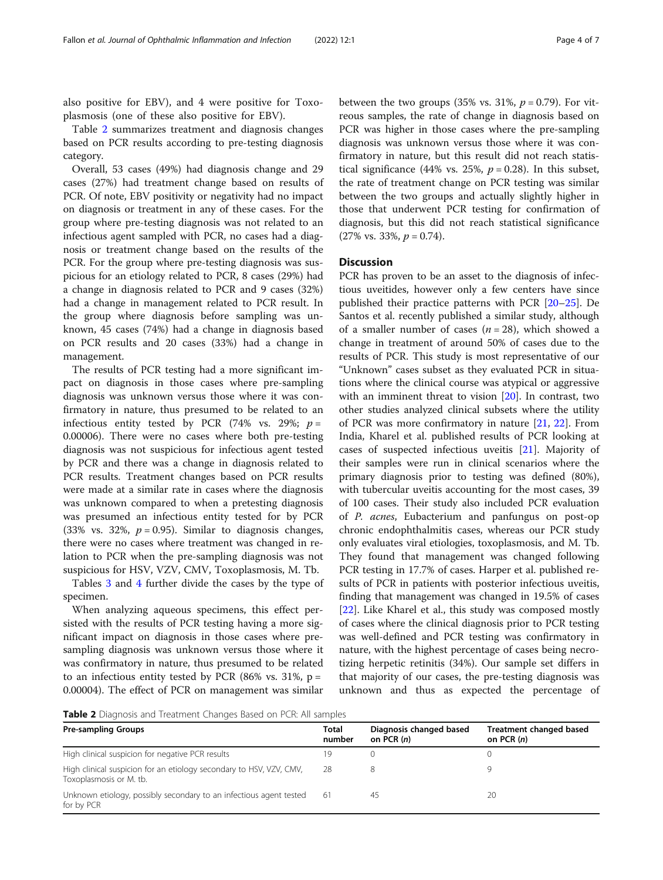also positive for EBV), and 4 were positive for Toxoplasmosis (one of these also positive for EBV).

Table 2 summarizes treatment and diagnosis changes based on PCR results according to pre-testing diagnosis category.

Overall, 53 cases (49%) had diagnosis change and 29 cases (27%) had treatment change based on results of PCR. Of note, EBV positivity or negativity had no impact on diagnosis or treatment in any of these cases. For the group where pre-testing diagnosis was not related to an infectious agent sampled with PCR, no cases had a diagnosis or treatment change based on the results of the PCR. For the group where pre-testing diagnosis was suspicious for an etiology related to PCR, 8 cases (29%) had a change in diagnosis related to PCR and 9 cases (32%) had a change in management related to PCR result. In the group where diagnosis before sampling was unknown, 45 cases (74%) had a change in diagnosis based on PCR results and 20 cases (33%) had a change in management.

The results of PCR testing had a more significant impact on diagnosis in those cases where pre-sampling diagnosis was unknown versus those where it was confirmatory in nature, thus presumed to be related to an infectious entity tested by PCR (74% vs. 29%;  $p =$ 0.00006). There were no cases where both pre-testing diagnosis was not suspicious for infectious agent tested by PCR and there was a change in diagnosis related to PCR results. Treatment changes based on PCR results were made at a similar rate in cases where the diagnosis was unknown compared to when a pretesting diagnosis was presumed an infectious entity tested for by PCR (33% vs. 32%,  $p = 0.95$ ). Similar to diagnosis changes, there were no cases where treatment was changed in relation to PCR when the pre-sampling diagnosis was not suspicious for HSV, VZV, CMV, Toxoplasmosis, M. Tb.

Tables [3](#page-4-0) and [4](#page-4-0) further divide the cases by the type of specimen.

When analyzing aqueous specimens, this effect persisted with the results of PCR testing having a more significant impact on diagnosis in those cases where presampling diagnosis was unknown versus those where it was confirmatory in nature, thus presumed to be related to an infectious entity tested by PCR (86% vs. 31%,  $p =$ 0.00004). The effect of PCR on management was similar between the two groups (35% vs. 31%,  $p = 0.79$ ). For vitreous samples, the rate of change in diagnosis based on PCR was higher in those cases where the pre-sampling diagnosis was unknown versus those where it was confirmatory in nature, but this result did not reach statistical significance (44% vs. 25%,  $p = 0.28$ ). In this subset, the rate of treatment change on PCR testing was similar between the two groups and actually slightly higher in those that underwent PCR testing for confirmation of diagnosis, but this did not reach statistical significance  $(27\% \text{ vs. } 33\%, p = 0.74).$ 

#### **Discussion**

PCR has proven to be an asset to the diagnosis of infectious uveitides, however only a few centers have since published their practice patterns with PCR [\[20](#page-6-0)–[25\]](#page-6-0). De Santos et al. recently published a similar study, although of a smaller number of cases ( $n = 28$ ), which showed a change in treatment of around 50% of cases due to the results of PCR. This study is most representative of our "Unknown" cases subset as they evaluated PCR in situations where the clinical course was atypical or aggressive with an imminent threat to vision [\[20](#page-6-0)]. In contrast, two other studies analyzed clinical subsets where the utility of PCR was more confirmatory in nature [\[21](#page-6-0), [22\]](#page-6-0). From India, Kharel et al. published results of PCR looking at cases of suspected infectious uveitis [[21](#page-6-0)]. Majority of their samples were run in clinical scenarios where the primary diagnosis prior to testing was defined (80%), with tubercular uveitis accounting for the most cases, 39 of 100 cases. Their study also included PCR evaluation of P. acnes, Eubacterium and panfungus on post-op chronic endophthalmitis cases, whereas our PCR study only evaluates viral etiologies, toxoplasmosis, and M. Tb. They found that management was changed following PCR testing in 17.7% of cases. Harper et al. published results of PCR in patients with posterior infectious uveitis, finding that management was changed in 19.5% of cases [[22\]](#page-6-0). Like Kharel et al., this study was composed mostly of cases where the clinical diagnosis prior to PCR testing was well-defined and PCR testing was confirmatory in nature, with the highest percentage of cases being necrotizing herpetic retinitis (34%). Our sample set differs in that majority of our cases, the pre-testing diagnosis was unknown and thus as expected the percentage of

Table 2 Diagnosis and Treatment Changes Based on PCR: All samples

| <b>Pre-sampling Groups</b>                                                                     | <b>Total</b><br>number | Diagnosis changed based<br>on PCR $(n)$ | Treatment changed based<br>on PCR $(n)$ |
|------------------------------------------------------------------------------------------------|------------------------|-----------------------------------------|-----------------------------------------|
| High clinical suspicion for negative PCR results                                               | 19.                    |                                         |                                         |
| High clinical suspicion for an etiology secondary to HSV, VZV, CMV,<br>Toxoplasmosis or M. tb. | 28                     |                                         |                                         |
| Unknown etiology, possibly secondary to an infectious agent tested<br>for by PCR               | -61                    | 45                                      | 20                                      |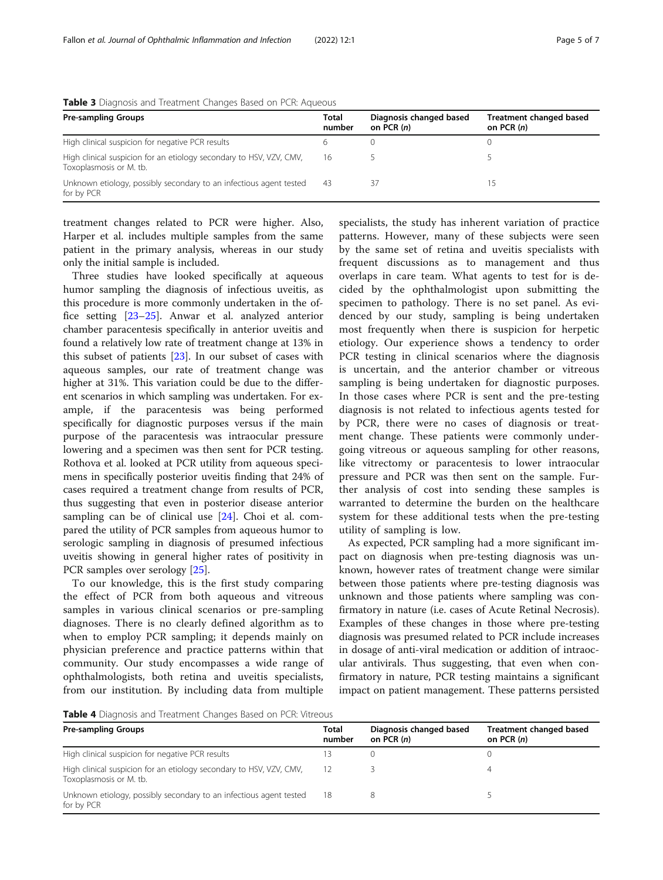| <b>Pre-sampling Groups</b>                                                                     | Total<br>number | Diagnosis changed based<br>on PCR (n) | Treatment changed based<br>on PCR $(n)$ |
|------------------------------------------------------------------------------------------------|-----------------|---------------------------------------|-----------------------------------------|
| High clinical suspicion for negative PCR results                                               |                 |                                       |                                         |
| High clinical suspicion for an etiology secondary to HSV, VZV, CMV,<br>Toxoplasmosis or M. tb. | 16              |                                       |                                         |
| Unknown etiology, possibly secondary to an infectious agent tested<br>for by PCR               | -43             |                                       |                                         |

<span id="page-4-0"></span>Table 3 Diagnosis and Treatment Changes Based on PCR: Aqueous

treatment changes related to PCR were higher. Also, Harper et al. includes multiple samples from the same patient in the primary analysis, whereas in our study only the initial sample is included.

Three studies have looked specifically at aqueous humor sampling the diagnosis of infectious uveitis, as this procedure is more commonly undertaken in the office setting [[23](#page-6-0)–[25](#page-6-0)]. Anwar et al. analyzed anterior chamber paracentesis specifically in anterior uveitis and found a relatively low rate of treatment change at 13% in this subset of patients [\[23](#page-6-0)]. In our subset of cases with aqueous samples, our rate of treatment change was higher at 31%. This variation could be due to the different scenarios in which sampling was undertaken. For example, if the paracentesis was being performed specifically for diagnostic purposes versus if the main purpose of the paracentesis was intraocular pressure lowering and a specimen was then sent for PCR testing. Rothova et al. looked at PCR utility from aqueous specimens in specifically posterior uveitis finding that 24% of cases required a treatment change from results of PCR, thus suggesting that even in posterior disease anterior sampling can be of clinical use  $[24]$  $[24]$ . Choi et al. compared the utility of PCR samples from aqueous humor to serologic sampling in diagnosis of presumed infectious uveitis showing in general higher rates of positivity in PCR samples over serology [[25](#page-6-0)].

To our knowledge, this is the first study comparing the effect of PCR from both aqueous and vitreous samples in various clinical scenarios or pre-sampling diagnoses. There is no clearly defined algorithm as to when to employ PCR sampling; it depends mainly on physician preference and practice patterns within that community. Our study encompasses a wide range of ophthalmologists, both retina and uveitis specialists, from our institution. By including data from multiple

specialists, the study has inherent variation of practice patterns. However, many of these subjects were seen by the same set of retina and uveitis specialists with frequent discussions as to management and thus overlaps in care team. What agents to test for is decided by the ophthalmologist upon submitting the specimen to pathology. There is no set panel. As evidenced by our study, sampling is being undertaken most frequently when there is suspicion for herpetic etiology. Our experience shows a tendency to order PCR testing in clinical scenarios where the diagnosis is uncertain, and the anterior chamber or vitreous sampling is being undertaken for diagnostic purposes. In those cases where PCR is sent and the pre-testing diagnosis is not related to infectious agents tested for by PCR, there were no cases of diagnosis or treatment change. These patients were commonly undergoing vitreous or aqueous sampling for other reasons, like vitrectomy or paracentesis to lower intraocular pressure and PCR was then sent on the sample. Further analysis of cost into sending these samples is warranted to determine the burden on the healthcare system for these additional tests when the pre-testing utility of sampling is low.

As expected, PCR sampling had a more significant impact on diagnosis when pre-testing diagnosis was unknown, however rates of treatment change were similar between those patients where pre-testing diagnosis was unknown and those patients where sampling was confirmatory in nature (i.e. cases of Acute Retinal Necrosis). Examples of these changes in those where pre-testing diagnosis was presumed related to PCR include increases in dosage of anti-viral medication or addition of intraocular antivirals. Thus suggesting, that even when confirmatory in nature, PCR testing maintains a significant impact on patient management. These patterns persisted

Table 4 Diagnosis and Treatment Changes Based on PCR: Vitreous

| <b>Pre-sampling Groups</b>                                                                     | Total<br>number | Diagnosis changed based<br>on PCR (n) | Treatment changed based<br>on PCR $(n)$ |  |
|------------------------------------------------------------------------------------------------|-----------------|---------------------------------------|-----------------------------------------|--|
| High clinical suspicion for negative PCR results                                               |                 |                                       |                                         |  |
| High clinical suspicion for an etiology secondary to HSV, VZV, CMV,<br>Toxoplasmosis or M. tb. |                 |                                       |                                         |  |
| Unknown etiology, possibly secondary to an infectious agent tested<br>for by PCR               | -18             |                                       |                                         |  |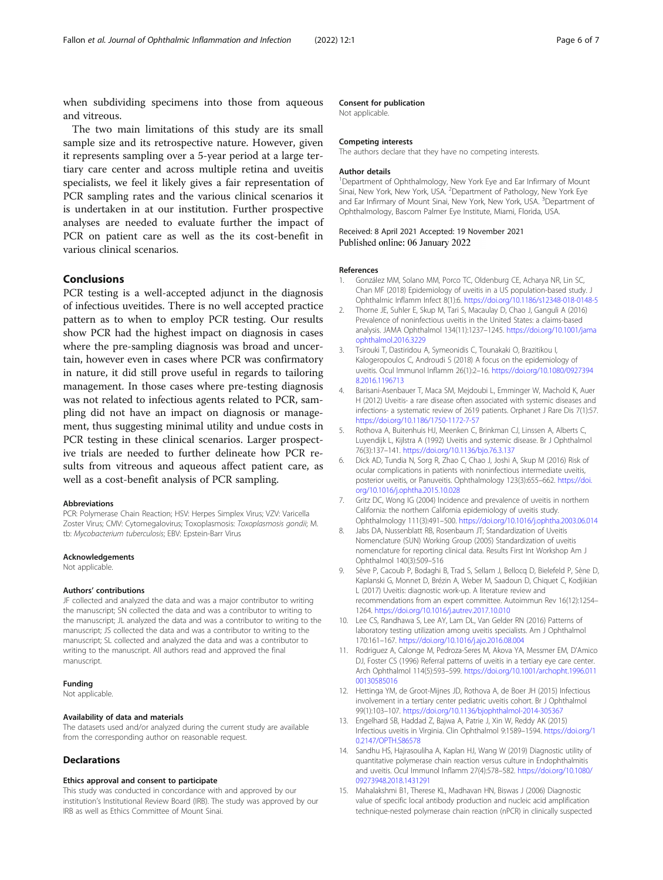<span id="page-5-0"></span>when subdividing specimens into those from aqueous and vitreous.

The two main limitations of this study are its small sample size and its retrospective nature. However, given it represents sampling over a 5-year period at a large tertiary care center and across multiple retina and uveitis specialists, we feel it likely gives a fair representation of PCR sampling rates and the various clinical scenarios it is undertaken in at our institution. Further prospective analyses are needed to evaluate further the impact of PCR on patient care as well as the its cost-benefit in various clinical scenarios.

#### Conclusions

PCR testing is a well-accepted adjunct in the diagnosis of infectious uveitides. There is no well accepted practice pattern as to when to employ PCR testing. Our results show PCR had the highest impact on diagnosis in cases where the pre-sampling diagnosis was broad and uncertain, however even in cases where PCR was confirmatory in nature, it did still prove useful in regards to tailoring management. In those cases where pre-testing diagnosis was not related to infectious agents related to PCR, sampling did not have an impact on diagnosis or management, thus suggesting minimal utility and undue costs in PCR testing in these clinical scenarios. Larger prospective trials are needed to further delineate how PCR results from vitreous and aqueous affect patient care, as well as a cost-benefit analysis of PCR sampling.

#### Abbreviations

PCR: Polymerase Chain Reaction; HSV: Herpes Simplex Virus; VZV: Varicella Zoster Virus; CMV: Cytomegalovirus; Toxoplasmosis: Toxoplasmosis gondii; M. tb: Mycobacterium tuberculosis; EBV: Epstein-Barr Virus

#### Acknowledgements

Not applicable.

#### Authors' contributions

JF collected and analyzed the data and was a major contributor to writing the manuscript; SN collected the data and was a contributor to writing to the manuscript; JL analyzed the data and was a contributor to writing to the manuscript; JS collected the data and was a contributor to writing to the manuscript; SL collected and analyzed the data and was a contributor to writing to the manuscript. All authors read and approved the final manuscript.

#### Funding

Not applicable.

#### Availability of data and materials

The datasets used and/or analyzed during the current study are available from the corresponding author on reasonable request.

#### **Declarations**

#### Ethics approval and consent to participate

This study was conducted in concordance with and approved by our institution's Institutional Review Board (IRB). The study was approved by our IRB as well as Ethics Committee of Mount Sinai.

#### Consent for publication

Not applicable.

#### Competing interests

The authors declare that they have no competing interests.

#### Author details

<sup>1</sup>Department of Ophthalmology, New York Eye and Ear Infirmary of Mount Sinai, New York, New York, USA. <sup>2</sup>Department of Pathology, New York Eye and Ear Infirmary of Mount Sinai, New York, New York, USA. <sup>3</sup>Department of Ophthalmology, Bascom Palmer Eye Institute, Miami, Florida, USA.

#### Received: 8 April 2021 Accepted: 19 November 2021 Published online: 06 January 2022

#### References

- 1. González MM, Solano MM, Porco TC, Oldenburg CE, Acharya NR, Lin SC, Chan MF (2018) Epidemiology of uveitis in a US population-based study. J Ophthalmic Inflamm Infect 8(1):6. <https://doi.org/10.1186/s12348-018-0148-5>
- 2. Thorne JE, Suhler E, Skup M, Tari S, Macaulay D, Chao J, Ganguli A (2016) Prevalence of noninfectious uveitis in the United States: a claims-based analysis. JAMA Ophthalmol 134(11):1237–1245. [https://doi.org/10.1001/jama](https://doi.org/10.1001/jamaophthalmol.2016.3229) [ophthalmol.2016.3229](https://doi.org/10.1001/jamaophthalmol.2016.3229)
- 3. Tsirouki T, Dastiridou A, Symeonidis C, Tounakaki O, Brazitikou I, Kalogeropoulos C, Androudi S (2018) A focus on the epidemiology of uveitis. Ocul Immunol Inflamm 26(1):2–16. [https://doi.org/10.1080/0927394](https://doi.org/10.1080/09273948.2016.1196713) [8.2016.1196713](https://doi.org/10.1080/09273948.2016.1196713)
- 4. Barisani-Asenbauer T, Maca SM, Mejdoubi L, Emminger W, Machold K, Auer H (2012) Uveitis- a rare disease often associated with systemic diseases and infections- a systematic review of 2619 patients. Orphanet J Rare Dis 7(1):57. <https://doi.org/10.1186/1750-1172-7-57>
- 5. Rothova A, Buitenhuis HJ, Meenken C, Brinkman CJ, Linssen A, Alberts C, Luyendijk L, Kijlstra A (1992) Uveitis and systemic disease. Br J Ophthalmol 76(3):137–141. <https://doi.org/10.1136/bjo.76.3.137>
- 6. Dick AD, Tundia N, Sorg R, Zhao C, Chao J, Joshi A, Skup M (2016) Risk of ocular complications in patients with noninfectious intermediate uveitis, posterior uveitis, or Panuveitis. Ophthalmology 123(3):655–662. [https://doi.](https://doi.org/10.1016/j.ophtha.2015.10.028) [org/10.1016/j.ophtha.2015.10.028](https://doi.org/10.1016/j.ophtha.2015.10.028)
- 7. Gritz DC, Wong IG (2004) Incidence and prevalence of uveitis in northern California: the northern California epidemiology of uveitis study. Ophthalmology 111(3):491–500. <https://doi.org/10.1016/j.ophtha.2003.06.014>
- 8. Jabs DA, Nussenblatt RB, Rosenbaum JT; Standardization of Uveitis Nomenclature (SUN) Working Group (2005) Standardization of uveitis nomenclature for reporting clinical data. Results First Int Workshop Am J Ophthalmol 140(3):509–516
- 9. Sève P, Cacoub P, Bodaghi B, Trad S, Sellam J, Bellocq D, Bielefeld P, Sène D, Kaplanski G, Monnet D, Brézin A, Weber M, Saadoun D, Chiquet C, Kodjikian L (2017) Uveitis: diagnostic work-up. A literature review and recommendations from an expert committee. Autoimmun Rev 16(12):1254– 1264. <https://doi.org/10.1016/j.autrev.2017.10.010>
- 10. Lee CS, Randhawa S, Lee AY, Lam DL, Van Gelder RN (2016) Patterns of laboratory testing utilization among uveitis specialists. Am J Ophthalmol 170:161–167. <https://doi.org/10.1016/j.ajo.2016.08.004>
- 11. Rodriguez A, Calonge M, Pedroza-Seres M, Akova YA, Messmer EM, D'Amico DJ, Foster CS (1996) Referral patterns of uveitis in a tertiary eye care center. Arch Ophthalmol 114(5):593–599. [https://doi.org/10.1001/archopht.1996.011](https://doi.org/10.1001/archopht.1996.01100130585016) [00130585016](https://doi.org/10.1001/archopht.1996.01100130585016)
- 12. Hettinga YM, de Groot-Mijnes JD, Rothova A, de Boer JH (2015) Infectious involvement in a tertiary center pediatric uveitis cohort. Br J Ophthalmol 99(1):103–107. <https://doi.org/10.1136/bjophthalmol-2014-305367>
- 13. Engelhard SB, Haddad Z, Bajwa A, Patrie J, Xin W, Reddy AK (2015) Infectious uveitis in Virginia. Clin Ophthalmol 9:1589–1594. [https://doi.org/1](https://doi.org/10.2147/OPTH.S86578) [0.2147/OPTH.S86578](https://doi.org/10.2147/OPTH.S86578)
- 14. Sandhu HS, Hajrasouliha A, Kaplan HJ, Wang W (2019) Diagnostic utility of quantitative polymerase chain reaction versus culture in Endophthalmitis and uveitis. Ocul Immunol Inflamm 27(4):578–582. [https://doi.org/10.1080/](https://doi.org/10.1080/09273948.2018.1431291) [09273948.2018.1431291](https://doi.org/10.1080/09273948.2018.1431291)
- 15. Mahalakshmi B1, Therese KL, Madhavan HN, Biswas J (2006) Diagnostic value of specific local antibody production and nucleic acid amplification technique-nested polymerase chain reaction (nPCR) in clinically suspected